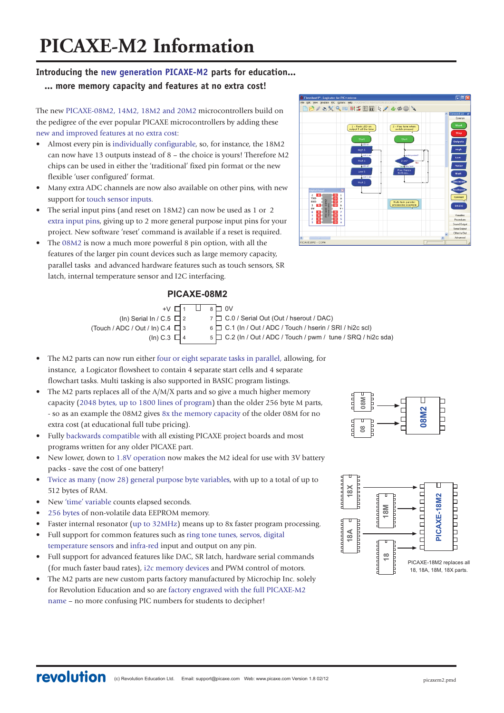# **Introducing the new generation PICAXE-M2 parts for education...**

# **... more memory capacity and features at no extra cost!**

The new PICAXE-08M2, 14M2, 18M2 and 20M2 microcontrollers build on the pedigree of the ever popular PICAXE microcontrollers by adding these new and improved features at no extra cost:

- Almost every pin is individually configurable, so, for instance, the 18M2 can now have 13 outputs instead of 8 – the choice is yours! Therefore M2 chips can be used in either the 'traditional' fixed pin format or the new flexible 'user configured' format.
- Many extra ADC channels are now also available on other pins, with new support for touch sensor inputs.
- The serial input pins (and reset on 18M2) can now be used as 1 or 2 extra input pins, giving up to 2 more general purpose input pins for your project. New software 'reset' command is available if a reset is required.
- The 08M2 is now a much more powerful 8 pin option, with all the features of the larger pin count devices such as large memory capacity, parallel tasks and advanced hardware features such as touch sensors, SR latch, internal temperature sensor and I2C interfacing.

# **PICAXE-08M2**

| $+V$ $\Box$ 1                         |  | $8 \Box 0V$                                                         |
|---------------------------------------|--|---------------------------------------------------------------------|
| (In) Serial In / C.5 $\Box$ 2         |  | 7 C.0 / Serial Out (Out / hserout / DAC)                            |
| (Touch / ADC / Out / In) C.4 $\Box$ 3 |  | 6 C.1 (In / Out / ADC / Touch / hserin / SRI / hi2c scl)            |
| (In) C.3 $\Box$ 4                     |  | $5 \Box C.2$ (In / Out / ADC / Touch / pwm / tune / SRQ / hi2c sda) |

- The M2 parts can now run either four or eight separate tasks in parallel, allowing, for instance, a Logicator flowsheet to contain 4 separate start cells and 4 separate flowchart tasks. Multi tasking is also supported in BASIC program listings.
- The M2 parts replaces all of the  $A/M/X$  parts and so give a much higher memory capacity (2048 bytes, up to 1800 lines of program) than the older 256 byte M parts, - so as an example the 08M2 gives 8x the memory capacity of the older 08M for no extra cost (at educational full tube pricing).
- Fully backwards compatible with all existing PICAXE project boards and most programs written for any older PICAXE part.
- New lower, down to 1.8V operation now makes the M2 ideal for use with 3V battery packs - save the cost of one battery!
- Twice as many (now 28) general purpose byte variables, with up to a total of up to 512 bytes of RAM.
- New 'time' variable counts elapsed seconds.
- 256 bytes of non-volatile data EEPROM memory.
- Faster internal resonator (up to 32MHz) means up to 8x faster program processing.
- Full support for common features such as ring tone tunes, servos, digital temperature sensors and infra-red input and output on any pin.
- Full support for advanced features like DAC, SR latch, hardware serial commands (for much faster baud rates), i2c memory devices and PWM control of motors.
- The M2 parts are new custom parts factory manufactured by Microchip Inc. solely for Revolution Education and so are factory engraved with the full PICAXE-M2 name – no more confusing PIC numbers for students to decipher!





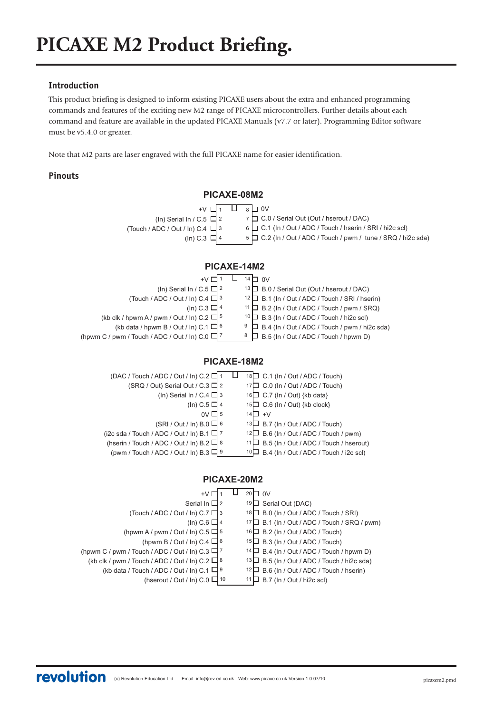# **Introduction**

This product briefing is designed to inform existing PICAXE users about the extra and enhanced programming commands and features of the exciting new M2 range of PICAXE microcontrollers. Further details about each command and feature are available in the updated PICAXE Manuals (v7.7 or later). Programming Editor software must be v5.4.0 or greater.

Note that M2 parts are laser engraved with the full PICAXE name for easier identification.

# **Pinouts**



 $12\Box$  B.6 (In / Out / ADC / Touch / hserin)

 $11 \Box$  B.7 (ln / Out / hi2c scl)

(kb data / Touch / ADC / Out / In) C.1  $\Box$  9

(hserout / Out / In) C.0  $\Box$  10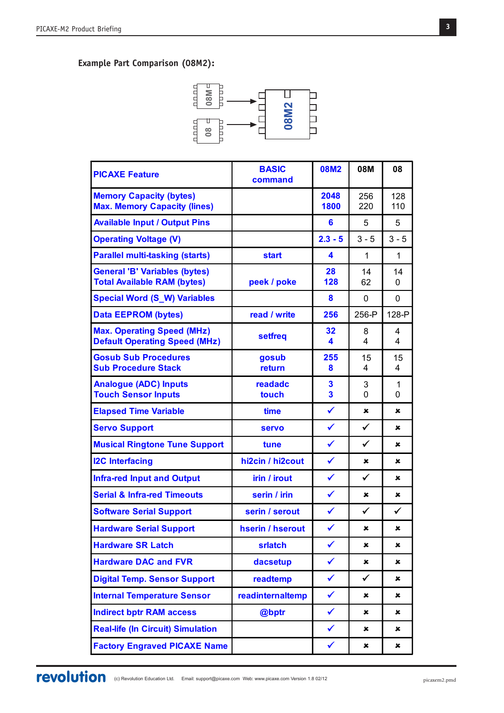# **Example Part Comparison (08M2):**



| <b>PICAXE Feature</b>                                                      | <b>BASIC</b><br>command | <b>08M2</b>                  | 08M          | 08                |
|----------------------------------------------------------------------------|-------------------------|------------------------------|--------------|-------------------|
| <b>Memory Capacity (bytes)</b><br><b>Max. Memory Capacity (lines)</b>      |                         | 2048<br>1800                 | 256<br>220   | 128<br>110        |
| <b>Available Input / Output Pins</b>                                       |                         | 6                            | 5            | 5                 |
| <b>Operating Voltage (V)</b>                                               |                         | $2.3 - 5$                    | $3 - 5$      | $3 - 5$           |
| <b>Parallel multi-tasking (starts)</b>                                     | <b>start</b>            | 4                            | $\mathbf{1}$ | $\mathbf{1}$      |
| <b>General 'B' Variables (bytes)</b><br><b>Total Available RAM (bytes)</b> | peek / poke             | 28<br>128                    | 14<br>62     | 14<br>$\mathbf 0$ |
| <b>Special Word (S_W) Variables</b>                                        |                         | 8                            | 0            | 0                 |
| <b>Data EEPROM (bytes)</b>                                                 | read / write            | 256                          | 256-P        | 128-P             |
| <b>Max. Operating Speed (MHz)</b><br><b>Default Operating Speed (MHz)</b>  | setfreq                 | 32<br>4                      | 8<br>4       | 4<br>4            |
| <b>Gosub Sub Procedures</b><br><b>Sub Procedure Stack</b>                  | gosub<br>return         | 255<br>8                     | 15<br>4      | 15<br>4           |
| <b>Analogue (ADC) Inputs</b><br><b>Touch Sensor Inputs</b>                 | readadc<br>touch        | 3<br>$\overline{\mathbf{3}}$ | 3<br>0       | 1<br>$\mathbf 0$  |
| <b>Elapsed Time Variable</b>                                               | time                    | $\checkmark$                 | ×            | ×                 |
| <b>Servo Support</b>                                                       | <b>servo</b>            | $\checkmark$                 | $\checkmark$ | $\pmb{x}$         |
| <b>Musical Ringtone Tune Support</b>                                       | tune                    | $\checkmark$                 | $\checkmark$ | ×                 |
| <b>I2C Interfacing</b>                                                     | hi2cin / hi2cout        | $\checkmark$                 | ×            | $\pmb{\times}$    |
| <b>Infra-red Input and Output</b>                                          | irin / irout            | $\checkmark$                 | $\checkmark$ | $\pmb{\times}$    |
| <b>Serial &amp; Infra-red Timeouts</b>                                     | serin / irin            | $\checkmark$                 | ×            | ×                 |
| <b>Software Serial Support</b>                                             | serin / serout          | $\checkmark$                 | $\checkmark$ | ✓                 |
| <b>Hardware Serial Support</b>                                             | hserin / hserout        | $\checkmark$                 | ×            | $\pmb{\times}$    |
| <b>Hardware SR Latch</b>                                                   | srlatch                 | $\checkmark$                 | ×            | $\pmb{\times}$    |
| <b>Hardware DAC and FVR</b>                                                | dacsetup                | $\checkmark$                 | ×            | ×                 |
| <b>Digital Temp. Sensor Support</b>                                        | readtemp                | $\checkmark$                 | $\checkmark$ | x                 |
| <b>Internal Temperature Sensor</b>                                         | readinternaltemp        | $\checkmark$                 | ×            | ×                 |
| <b>Indirect bptr RAM access</b>                                            | @bptr                   | $\checkmark$                 | ×            | $\mathbf x$       |
| <b>Real-life (In Circuit) Simulation</b>                                   |                         | $\checkmark$                 | ×            | ×                 |
| <b>Factory Engraved PICAXE Name</b>                                        |                         | $\checkmark$                 | ×            | $\pmb{\times}$    |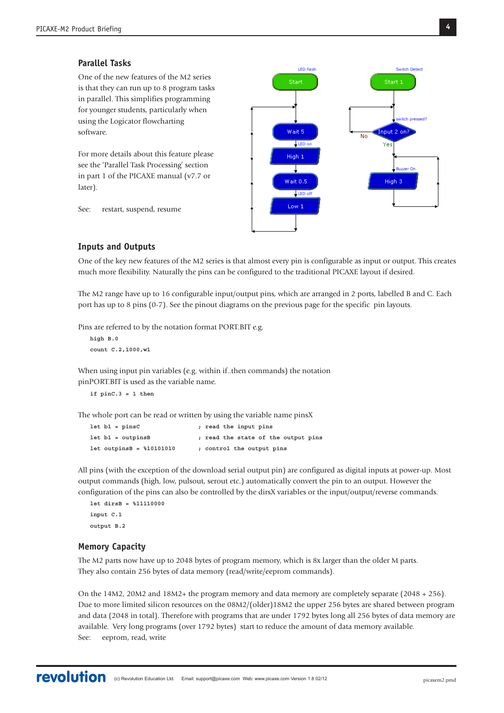# **Parallel Tasks**

One of the new features of the M2 series is that they can run up to 8 program tasks in parallel. This simplifies programming for younger students, particularly when using the Logicator flowcharting software.

For more details about this feature please see the 'Parallel Task Processing' section in part 1 of the PICAXE manual (v7.7 or later).

See: restart, suspend, resume



## **Inputs and Outputs**

One of the key new features of the M2 series is that almost every pin is configurable as input or output. This creates much more flexibility. Naturally the pins can be configured to the traditional PICAXE layout if desired.

The M2 range have up to 16 configurable input/output pins, which are arranged in 2 ports, labelled B and C. Each port has up to 8 pins (0-7). See the pinout diagrams on the previous page for the specific pin layouts.

Pins are referred to by the notation format PORT.BIT e.g.

```
high B.0
count C.2,1000,w1
```
When using input pin variables (e.g. within if..then commands) the notation pinPORT.BIT is used as the variable name.

**if pinC.3 = 1 then**

The whole port can be read or written by using the variable name pinsX

```
let b1 = pinsC ; read the input pins
let b1 = outpinsB ; read the state of the output pins
let outpinsB = %10101010 ; control the output pins
```
All pins (with the exception of the download serial output pin) are configured as digital inputs at power-up. Most output commands (high, low, pulsout, serout etc.) automatically convert the pin to an output. However the configuration of the pins can also be controlled by the dirsX variables or the input/output/reverse commands.

**let dirsB = %11110000 input C.1 output B.2**

#### **Memory Capacity**

The M2 parts now have up to 2048 bytes of program memory, which is 8x larger than the older M parts. They also contain 256 bytes of data memory (read/write/eeprom commands).

On the 14M2, 20M2 and 18M2+ the program memory and data memory are completely separate (2048 + 256). Due to more limited silicon resources on the 08M2/(older)18M2 the upper 256 bytes are shared between program and data (2048 in total). Therefore with programs that are under 1792 bytes long all 256 bytes of data memory are available. Very long programs (over 1792 bytes) start to reduce the amount of data memory available. See: eeprom, read, write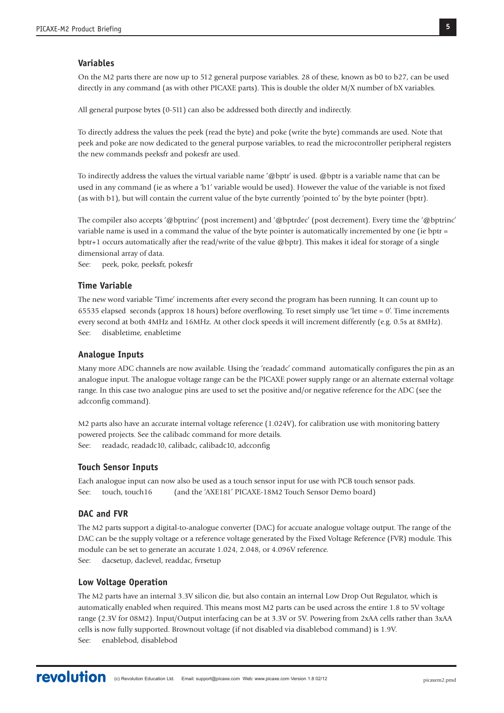## **Variables**

On the M2 parts there are now up to 512 general purpose variables. 28 of these, known as b0 to b27, can be used directly in any command (as with other PICAXE parts). This is double the older M/X number of bX variables.

All general purpose bytes (0-511) can also be addressed both directly and indirectly.

To directly address the values the peek (read the byte) and poke (write the byte) commands are used. Note that peek and poke are now dedicated to the general purpose variables, to read the microcontroller peripheral registers the new commands peeksfr and pokesfr are used.

To indirectly address the values the virtual variable name '@bptr' is used. @bptr is a variable name that can be used in any command (ie as where a 'b1' variable would be used). However the value of the variable is not fixed (as with b1), but will contain the current value of the byte currently 'pointed to' by the byte pointer (bptr).

The compiler also accepts '@bptrinc' (post increment) and '@bptrdec' (post decrement). Every time the '@bptrinc' variable name is used in a command the value of the byte pointer is automatically incremented by one (ie bptr = bptr+1 occurs automatically after the read/write of the value @bptr). This makes it ideal for storage of a single dimensional array of data.

See: peek, poke, peeksfr, pokesfr

## **Time Variable**

The new word variable 'Time' increments after every second the program has been running. It can count up to 65535 elapsed seconds (approx 18 hours) before overflowing. To reset simply use 'let time = 0'. Time increments every second at both 4MHz and 16MHz. At other clock speeds it will increment differently (e.g. 0.5s at 8MHz). See: disabletime, enabletime

#### **Analogue Inputs**

Many more ADC channels are now available. Using the 'readadc' command automatically configures the pin as an analogue input. The analogue voltage range can be the PICAXE power supply range or an alternate external voltage range. In this case two analogue pins are used to set the positive and/or negative reference for the ADC (see the adcconfig command).

M2 parts also have an accurate internal voltage reference (1.024V), for calibration use with monitoring battery powered projects. See the calibadc command for more details. See: readadc, readadc10, calibadc, calibadc10, adcconfig

#### **Touch Sensor Inputs**

Each analogue input can now also be used as a touch sensor input for use with PCB touch sensor pads. See: touch, touch16 (and the 'AXE181' PICAXE-18M2 Touch Sensor Demo board)

# **DAC and FVR**

The M2 parts support a digital-to-analogue converter (DAC) for accuate analogue voltage output. The range of the DAC can be the supply voltage or a reference voltage generated by the Fixed Voltage Reference (FVR) module. This module can be set to generate an accurate 1.024, 2.048, or 4.096V reference. See: dacsetup, daclevel, readdac, fvrsetup

#### **Low Voltage Operation**

The M2 parts have an internal 3.3V silicon die, but also contain an internal Low Drop Out Regulator, which is automatically enabled when required. This means most M2 parts can be used across the entire 1.8 to 5V voltage range (2.3V for 08M2). Input/Output interfacing can be at 3.3V or 5V. Powering from 2xAA cells rather than 3xAA cells is now fully supported. Brownout voltage (if not disabled via disablebod command) is 1.9V. See: enablebod, disablebod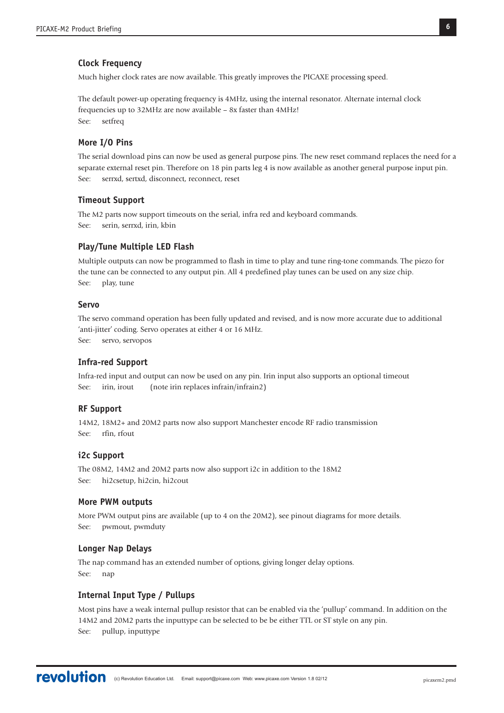## **Clock Frequency**

Much higher clock rates are now available. This greatly improves the PICAXE processing speed.

The default power-up operating frequency is 4MHz, using the internal resonator. Alternate internal clock frequencies up to 32MHz are now available – 8x faster than 4MHz! See: setfreq

### **More I/O Pins**

The serial download pins can now be used as general purpose pins. The new reset command replaces the need for a separate external reset pin. Therefore on 18 pin parts leg 4 is now available as another general purpose input pin. See: serrxd, sertxd, disconnect, reconnect, reset

#### **Timeout Support**

The M2 parts now support timeouts on the serial, infra red and keyboard commands. See: serin, serrxd, irin, kbin

### **Play/Tune Multiple LED Flash**

Multiple outputs can now be programmed to flash in time to play and tune ring-tone commands. The piezo for the tune can be connected to any output pin. All 4 predefined play tunes can be used on any size chip. See: play, tune

#### **Servo**

The servo command operation has been fully updated and revised, and is now more accurate due to additional 'anti-jitter' coding. Servo operates at either 4 or 16 MHz. See: servo, servopos

#### **Infra-red Support**

Infra-red input and output can now be used on any pin. Irin input also supports an optional timeout See: irin, irout (note irin replaces infrain/infrain2)

# **RF Support**

14M2, 18M2+ and 20M2 parts now also support Manchester encode RF radio transmission See: rfin, rfout

#### **i2c Support**

The 08M2, 14M2 and 20M2 parts now also support i2c in addition to the 18M2 See: hi2csetup, hi2cin, hi2cout

#### **More PWM outputs**

More PWM output pins are available (up to 4 on the 20M2), see pinout diagrams for more details. See: pwmout, pwmduty

#### **Longer Nap Delays**

The nap command has an extended number of options, giving longer delay options. See: nap

## **Internal Input Type / Pullups**

Most pins have a weak internal pullup resistor that can be enabled via the 'pullup' command. In addition on the 14M2 and 20M2 parts the inputtype can be selected to be be either TTL or ST style on any pin. See: pullup, inputtype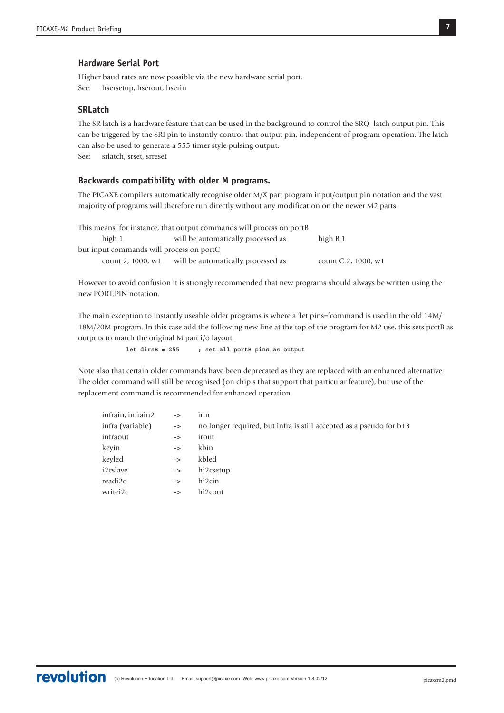## **Hardware Serial Port**

Higher baud rates are now possible via the new hardware serial port. See: hsersetup, hserout, hserin

#### **SRLatch**

The SR latch is a hardware feature that can be used in the background to control the SRQ latch output pin. This can be triggered by the SRI pin to instantly control that output pin, independent of program operation. The latch can also be used to generate a 555 timer style pulsing output.

See: srlatch, srset, srreset

# **Backwards compatibility with older M programs.**

The PICAXE compilers automatically recognise older M/X part program input/output pin notation and the vast majority of programs will therefore run directly without any modification on the newer M2 parts.

This means, for instance, that output commands will process on portB high 1 will be automatically processed as high B.1 but input commands will process on portC count 2, 1000, w1 will be automatically processed as count C.2, 1000, w1

However to avoid confusion it is strongly recommended that new programs should always be written using the new PORT.PIN notation.

The main exception to instantly useable older programs is where a 'let pins='command is used in the old 14M/ 18M/20M program. In this case add the following new line at the top of the program for M2 use, this sets portB as outputs to match the original M part i/o layout.

**let dirsB = 255 ; set all portB pins as output**

Note also that certain older commands have been deprecated as they are replaced with an enhanced alternative. The older command will still be recognised (on chip s that support that particular feature), but use of the replacement command is recommended for enhanced operation.

| infrain, infrain2 | ->            | ırın                                                                |
|-------------------|---------------|---------------------------------------------------------------------|
| infra (variable)  | ->            | no longer required, but infra is still accepted as a pseudo for b13 |
| infraout          | ->            | irout                                                               |
| keyin             | ->            | kbin                                                                |
| keyled            | ->            | kbled                                                               |
| i2cslave          | $\rightarrow$ | hi2csetup                                                           |
| readi2c           | ->            | hi2cin                                                              |
| writei2c          | ->            | hi2cout                                                             |
|                   |               |                                                                     |